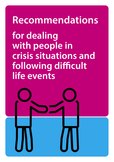Recommendations for dealing with people in crisis situations and following difficult life events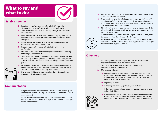## **What to say and what to do:**

#### **Establish contact**

- **1.** Introduce yourself by name and offer to help. (For example: "*My name is Anna, I work here as a volunteer. I can help you.*")
- **2.** Try to find a quiet place to sit and talk. If possible, avoid places with many distractions.
- **3.** Make sure the person is well looked after physically, e.g. offer them a blanket if they are cold or a glass of water; hand them tissues, if they are crying.
- **4.** Always address the person by name and use your body language to convey safety, e.g. through eye contact.
- **5.** Respect the person's privacy and treat what is said to you as confidential.
- **6.** Stay close to the person, but keep an appropriate distance according to their age, gender and culture.
- **7.** Show that you are listening, for example by nodding, making eye contact or simply responding in an affirmative way ("*I am listening to you*.", "*I understand you.*"). It is important that you turn your body towards the person.
- **8.** Be patient and calm. Staying calm, signalling understanding and just being there can help a person feel safe, understood, respected, valued and well cared for. It signals that they are not alone.
- **9.** If necessary, shield victims from journalists, the media or onlookers to protect their privacy and dignity.

#### **Give orientation**

- **1.** Bring the person into the here and now by telling them where they are, what day, date and time it is (e.g. "*You are here in* ...", "*Today is the* ..." and "*It is now ... o'clock*").
- **2.** Ask the person simple questions, e.g. simple choice questions ("*Do you want to do this or that?*", "*Do you want to go there?*"). Let the person regain control of their choices.
- **3.** Ask the person to do simple and achievable tasks that help them regain control and belief in their abilities.
- **4.** Share facts if you have them. Be honest about what you don't know ("*I don't know, but I will try to find it out for you*"). If you can, give information about things that concern the person or relative, including planned actions. Speak calmly, clearly and concisely.
- **5.** Give information which the person can understand. Express yourself simply and clearly. If necessary and if you can, give clear instructions on what to do, e.g. where to go.
- **6.** It is possible that people do not remember past events. If possible, and if the person wants to, help them to fill in the gaps.



**7.** Respect the feelings of the person, e.g. about the loss of home, relatives or other stressful events ("*I'm sorry about what happened to you, I can imagine that this must be very painful for you*").

### **Offer help**

- **1.** Acknowledge the person's strengths and what they have done to help themselves or others in the crisis situation.
- **2.** Clarify what the person needs. What should happen next? What will the person do afterwards?
- **3.** Offer practical help, e.g.:
	- $\rightarrow$  Bringing together family members, friends or colleagues, if this is possible and not too dangerous. It is a good idea to bring people together who can help each other (e.g. you can ask the person to help the older ones or the children).
	- $\rightarrow$  Organising childcare.
	- $\rightarrow$  Gathering information (e.g. about injured relatives).
	- $\rightarrow$  If the person you are helping is a parent, give them advice on how to help their children.
	- $\rightarrow$  If possible, make contact with other psychosocial support services, e.g. a social worker. Emphasise that you will continue helping the person and that you will be there for them, if you can and want to.